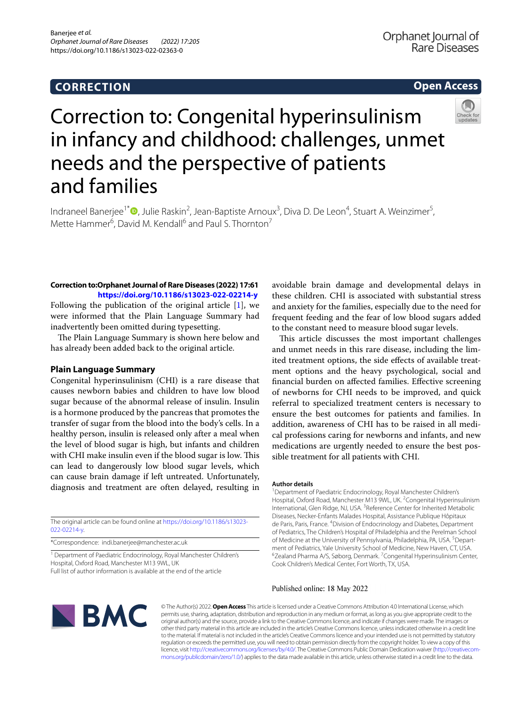# **CORRECTION**

# **Open Access**



# Correction to: Congenital hyperinsulinism in infancy and childhood: challenges, unmet needs and the perspective of patients and families

Indraneel Banerjee<sup>1[\\*](http://orcid.org/0000-0003-4280-7470)</sup><sup>®</sup>, Julie Raskin<sup>2</sup>, Jean-Baptiste Arnoux<sup>3</sup>, Diva D. De Leon<sup>4</sup>, Stuart A. Weinzimer<sup>5</sup>, Mette Hammer<sup>6</sup>, David M. Kendall<sup>6</sup> and Paul S. Thornton<sup>7</sup>

## **Correction to:Orphanet Journal of Rare Diseases (2022) 17:61 <https://doi.org/10.1186/s13023-022-02214-y>**

Following the publication of the original article [[1\]](#page-1-0), we were informed that the Plain Language Summary had inadvertently been omitted during typesetting.

The Plain Language Summary is shown here below and has already been added back to the original article.

### **Plain Language Summary**

Congenital hyperinsulinism (CHI) is a rare disease that causes newborn babies and children to have low blood sugar because of the abnormal release of insulin. Insulin is a hormone produced by the pancreas that promotes the transfer of sugar from the blood into the body's cells. In a healthy person, insulin is released only after a meal when the level of blood sugar is high, but infants and children with CHI make insulin even if the blood sugar is low. This can lead to dangerously low blood sugar levels, which can cause brain damage if left untreated. Unfortunately, diagnosis and treatment are often delayed, resulting in

The original article can be found online at [https://doi.org/10.1186/s13023-](https://doi.org/10.1186/s13023-022-02214-y) [022-02214-y](https://doi.org/10.1186/s13023-022-02214-y).

\*Correspondence: indi.banerjee@manchester.ac.uk

<sup>1</sup> Department of Paediatric Endocrinology, Royal Manchester Children's Hospital, Oxford Road, Manchester M13 9WL, UK Full list of author information is available at the end of the article

avoidable brain damage and developmental delays in these children. CHI is associated with substantial stress and anxiety for the families, especially due to the need for frequent feeding and the fear of low blood sugars added to the constant need to measure blood sugar levels.

This article discusses the most important challenges and unmet needs in this rare disease, including the limited treatment options, the side effects of available treatment options and the heavy psychological, social and fnancial burden on afected families. Efective screening of newborns for CHI needs to be improved, and quick referral to specialized treatment centers is necessary to ensure the best outcomes for patients and families. In addition, awareness of CHI has to be raised in all medical professions caring for newborns and infants, and new medications are urgently needed to ensure the best possible treatment for all patients with CHI.

#### **Author details**

<sup>1</sup> Department of Paediatric Endocrinology, Royal Manchester Children's Hospital, Oxford Road, Manchester M13 9WL, UK. <sup>2</sup> Congenital Hyperinsulinism International, Glen Ridge, NJ, USA. <sup>3</sup> Reference Center for Inherited Metabolic Diseases, Necker-Enfants Malades Hospital, Assistance Publique Hôpitaux de Paris, Paris, France. <sup>4</sup> Division of Endocrinology and Diabetes, Department of Pediatrics, The Children's Hospital of Philadelphia and the Perelman School of Medicine at the University of Pennsylvania, Philadelphia, PA, USA.<sup>5</sup> Department of Pediatrics, Yale University School of Medicine, New Haven, CT, USA. 6 Zealand Pharma A/S, Søborg, Denmark. <sup>7</sup> Congenital Hyperinsulinism Center, Cook Children's Medical Center, Fort Worth, TX, USA.

#### Published online: 18 May 2022



© The Author(s) 2022. **Open Access** This article is licensed under a Creative Commons Attribution 4.0 International License, which permits use, sharing, adaptation, distribution and reproduction in any medium or format, as long as you give appropriate credit to the original author(s) and the source, provide a link to the Creative Commons licence, and indicate if changes were made. The images or other third party material in this article are included in the article's Creative Commons licence, unless indicated otherwise in a credit line to the material. If material is not included in the article's Creative Commons licence and your intended use is not permitted by statutory regulation or exceeds the permitted use, you will need to obtain permission directly from the copyright holder. To view a copy of this licence, visit [http://creativecommons.org/licenses/by/4.0/.](http://creativecommons.org/licenses/by/4.0/) The Creative Commons Public Domain Dedication waiver (http://creativecom· [mons.org/publicdomain/zero/1.0/\)](http://creativecommons.org/publicdomain/zero/1.0/) applies to the data made available in this article, unless otherwise stated in a credit line to the data.